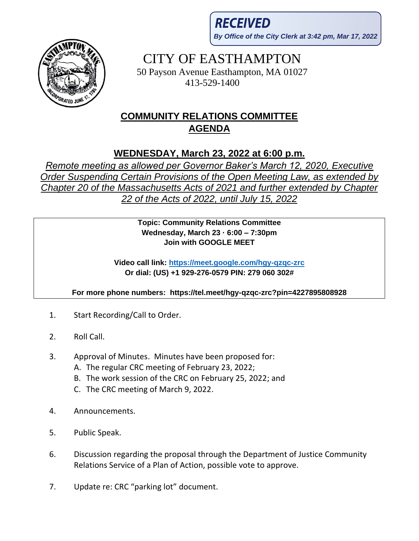**RECEIVED By Office of the City Clerk at 3:42 pm, Mar 17, 2022**



## CITY OF EASTHAMPTON

50 Payson Avenue Easthampton, MA 01027 413-529-1400

## **COMMUNITY RELATIONS COMMITTEE AGENDA**

## **WEDNESDAY, March 23, 2022 at 6:00 p.m.**

*Remote meeting as allowed per Governor Baker's March 12, 2020, Executive Order Suspending Certain Provisions of the Open Meeting Law, as extended by Chapter 20 of the Massachusetts Acts of 2021 and further extended by Chapter 22 of the Acts of 2022, until July 15, 2022*

> **Topic: Community Relations Committee Wednesday, March 23 · 6:00 – 7:30pm Join with GOOGLE MEET**

**Video call link:<https://meet.google.com/hgy-qzqc-zrc> Or dial: (US) +1 929-276-0579 PIN: 279 060 302#**

**For more phone numbers: https://tel.meet/hgy-qzqc-zrc?pin=4227895808928**

- 1. Start Recording/Call to Order.
- 2. Roll Call.
- 3. Approval of Minutes. Minutes have been proposed for:
	- A. The regular CRC meeting of February 23, 2022;
	- B. The work session of the CRC on February 25, 2022; and
	- C. The CRC meeting of March 9, 2022.
- 4. Announcements.
- 5. Public Speak.
- 6. Discussion regarding the proposal through the Department of Justice Community Relations Service of a Plan of Action, possible vote to approve.
- 7. Update re: CRC "parking lot" document.